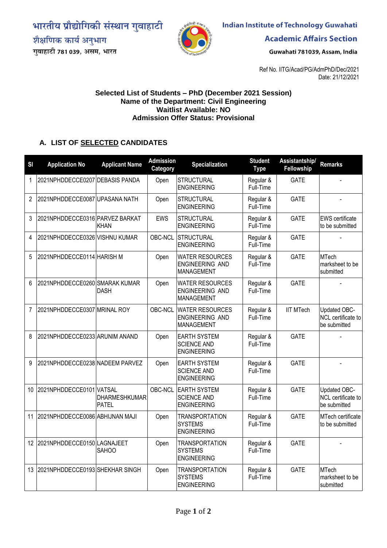भारतीय प्रौद्योगिकी संस्थान गुवाहाटी शैक्षणिक कार्य अनुभाग

गुवाहाटी 781 039, असम, भारत



**Indian Institute of Technology Guwahati** 

**Academic Affairs Section** 

Guwahati 781039, Assam, India

Ref No. IITG/Acad/PG/AdmPhD/Dec/2021 Date: 21/12/2021

## **Selected List of Students – PhD (December 2021 Session) Name of the Department: Civil Engineering Waitlist Available: NO Admission Offer Status: Provisional**

## **A. LIST OF SELECTED CANDIDATES**

| <b>SI</b>      | <b>Application No</b>           | <b>Applicant Name</b>                | <b>Admission</b><br>Category | <b>Specialization</b>                                                 | <b>Student</b><br><b>Type</b> | Assistantship/<br>Fellowship | <b>Remarks</b>                                            |
|----------------|---------------------------------|--------------------------------------|------------------------------|-----------------------------------------------------------------------|-------------------------------|------------------------------|-----------------------------------------------------------|
| $\mathbf{1}$   | 2021NPHDDECCE0207 DEBASIS PANDA |                                      | Open                         | <b>STRUCTURAL</b><br><b>ENGINEERING</b>                               | Regular &<br>Full-Time        | <b>GATE</b>                  |                                                           |
| 2              | 2021NPHDDECCE0087UPASANA NATH   |                                      | Open                         | <b>STRUCTURAL</b><br><b>ENGINEERING</b>                               | Regular &<br>Full-Time        | <b>GATE</b>                  |                                                           |
| 3              | 2021NPHDDECCE0316 PARVEZ BARKAT | <b>KHAN</b>                          | <b>EWS</b>                   | <b>STRUCTURAL</b><br><b>ENGINEERING</b>                               | Regular &<br>Full-Time        | <b>GATE</b>                  | <b>EWS</b> certificate<br>to be submitted                 |
| 4              | 2021NPHDDECCE0326 VISHNU KUMAR  |                                      | OBC-NCL                      | <b>STRUCTURAL</b><br><b>ENGINEERING</b>                               | Regular &<br>Full-Time        | <b>GATE</b>                  |                                                           |
| 5              | 2021NPHDDECCE0114 HARISH M      |                                      | Open                         | <b>WATER RESOURCES</b><br><b>ENGINEERING AND</b><br><b>MANAGEMENT</b> | Regular &<br>Full-Time        | <b>GATE</b>                  | <b>MTech</b><br>marksheet to be<br>submitted              |
| 6              | 2021NPHDDECCE0260 SMARAK KUMAR  | <b>DASH</b>                          | Open                         | <b>WATER RESOURCES</b><br><b>ENGINEERING AND</b><br><b>MANAGEMENT</b> | Regular &<br>Full-Time        | <b>GATE</b>                  |                                                           |
| $\overline{7}$ | 2021NPHDDECCE0307 MRINAL ROY    |                                      | OBC-NCL                      | <b>WATER RESOURCES</b><br><b>ENGINEERING AND</b><br><b>MANAGEMENT</b> | Regular &<br>Full-Time        | <b>IIT MTech</b>             | <b>Updated OBC-</b><br>NCL certificate to<br>be submitted |
| 8              | 2021NPHDDECCE0233 ARUNIM ANAND  |                                      | Open                         | <b>EARTH SYSTEM</b><br><b>SCIENCE AND</b><br><b>ENGINEERING</b>       | Regular &<br>Full-Time        | <b>GATE</b>                  |                                                           |
| 9              | 2021NPHDDECCE0238 NADEEM PARVEZ |                                      | Open                         | <b>EARTH SYSTEM</b><br><b>SCIENCE AND</b><br><b>ENGINEERING</b>       | Regular &<br>Full-Time        | <b>GATE</b>                  | $\blacksquare$                                            |
| 10             | 2021NPHDDECCE0101 VATSAL        | <b>DHARMESHKUMAR</b><br><b>PATEL</b> | OBC-NCL                      | <b>EARTH SYSTEM</b><br><b>SCIENCE AND</b><br><b>ENGINEERING</b>       | Regular &<br>Full-Time        | <b>GATE</b>                  | Updated OBC-<br>NCL certificate to<br>be submitted        |
| 11             | 2021NPHDDECCE0086 ABHIJNAN MAJI |                                      | Open                         | <b>TRANSPORTATION</b><br><b>SYSTEMS</b><br><b>ENGINEERING</b>         | Regular &<br>Full-Time        | <b>GATE</b>                  | MTech certificate<br>to be submitted                      |
| 12             | 2021NPHDDECCE0150 LAGNAJEET     | SAHOO                                | Open                         | <b>TRANSPORTATION</b><br><b>SYSTEMS</b><br><b>ENGINEERING</b>         | Regular &<br>Full-Time        | <b>GATE</b>                  |                                                           |
| 13             | 2021NPHDDECCE0193 SHEKHAR SINGH |                                      | Open                         | <b>TRANSPORTATION</b><br><b>SYSTEMS</b><br><b>ENGINEERING</b>         | Regular &<br>Full-Time        | <b>GATE</b>                  | <b>MTech</b><br>marksheet to be<br>submitted              |